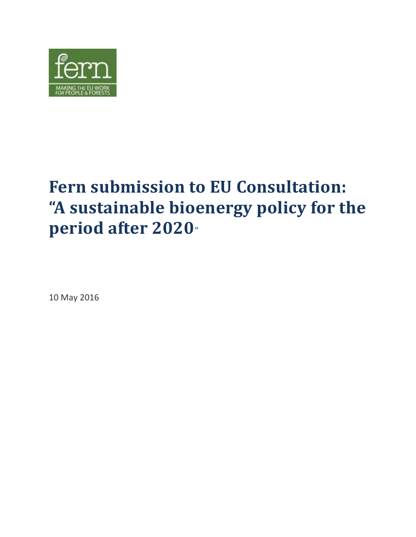

# **Fern submission to EU Consultation: "A sustainable bioenergy policy for the period after 2020"**

10 May 2016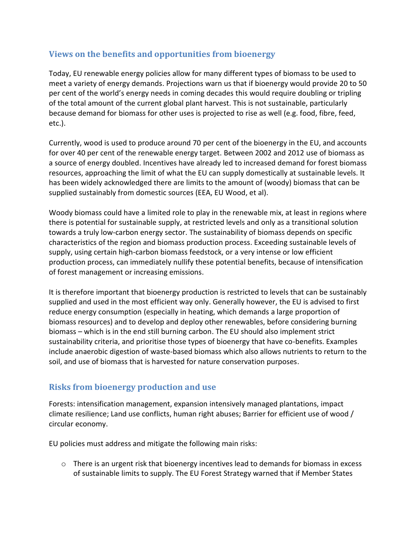#### **Views on the benefits and opportunities from bioenergy**

Today, EU renewable energy policies allow for many different types of biomass to be used to meet a variety of energy demands. Projections warn us that if bioenergy would provide 20 to 50 per cent of the world's energy needs in coming decades this would require doubling or tripling of the total amount of the current global plant harvest. This is not sustainable, particularly because demand for biomass for other uses is projected to rise as well (e.g. food, fibre, feed, etc.).

Currently, wood is used to produce around 70 per cent of the bioenergy in the EU, and accounts for over 40 per cent of the renewable energy target. Between 2002 and 2012 use of biomass as a source of energy doubled. Incentives have already led to increased demand for forest biomass resources, approaching the limit of what the EU can supply domestically at sustainable levels. It has been widely acknowledged there are limits to the amount of (woody) biomass that can be supplied sustainably from domestic sources (EEA, EU Wood, et al).

Woody biomass could have a limited role to play in the renewable mix, at least in regions where there is potential for sustainable supply, at restricted levels and only as a transitional solution towards a truly low-carbon energy sector. The sustainability of biomass depends on specific characteristics of the region and biomass production process. Exceeding sustainable levels of supply, using certain high-carbon biomass feedstock, or a very intense or low efficient production process, can immediately nullify these potential benefits, because of intensification of forest management or increasing emissions.

It is therefore important that bioenergy production is restricted to levels that can be sustainably supplied and used in the most efficient way only. Generally however, the EU is advised to first reduce energy consumption (especially in heating, which demands a large proportion of biomass resources) and to develop and deploy other renewables, before considering burning biomass – which is in the end still burning carbon. The EU should also implement strict sustainability criteria, and prioritise those types of bioenergy that have co-benefits. Examples include anaerobic digestion of waste-based biomass which also allows nutrients to return to the soil, and use of biomass that is harvested for nature conservation purposes.

# **Risks from bioenergy production and use**

Forests: intensification management, expansion intensively managed plantations, impact climate resilience; Land use conflicts, human right abuses; Barrier for efficient use of wood / circular economy.

EU policies must address and mitigate the following main risks:

 $\circ$  There is an urgent risk that bioenergy incentives lead to demands for biomass in excess of sustainable limits to supply. The EU Forest Strategy warned that if Member States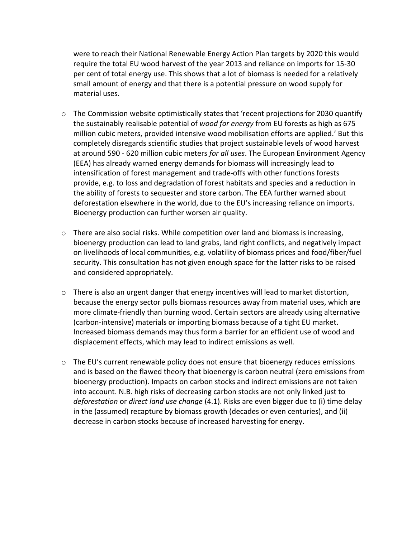were to reach their National Renewable Energy Action Plan targets by 2020 this would require the total EU wood harvest of the year 2013 and reliance on imports for 15-30 per cent of total energy use. This shows that a lot of biomass is needed for a relatively small amount of energy and that there is a potential pressure on wood supply for material uses.

- $\circ$  The Commission website optimistically states that 'recent projections for 2030 quantify the sustainably realisable potential of *wood for energy* from EU forests as high as 675 million cubic meters, provided intensive wood mobilisation efforts are applied.' But this completely disregards scientific studies that project sustainable levels of wood harvest at around 590 - 620 million cubic meters *for all uses*. The European Environment Agency (EEA) has already warned energy demands for biomass will increasingly lead to intensification of forest management and trade-offs with other functions forests provide, e.g. to loss and degradation of forest habitats and species and a reduction in the ability of forests to sequester and store carbon. The EEA further warned about deforestation elsewhere in the world, due to the EU's increasing reliance on imports. Bioenergy production can further worsen air quality.
- $\circ$  There are also social risks. While competition over land and biomass is increasing, bioenergy production can lead to land grabs, land right conflicts, and negatively impact on livelihoods of local communities, e.g. volatility of biomass prices and food/fiber/fuel security. This consultation has not given enough space for the latter risks to be raised and considered appropriately.
- $\circ$  There is also an urgent danger that energy incentives will lead to market distortion, because the energy sector pulls biomass resources away from material uses, which are more climate-friendly than burning wood. Certain sectors are already using alternative (carbon-intensive) materials or importing biomass because of a tight EU market. Increased biomass demands may thus form a barrier for an efficient use of wood and displacement effects, which may lead to indirect emissions as well.
- $\circ$  The EU's current renewable policy does not ensure that bioenergy reduces emissions and is based on the flawed theory that bioenergy is carbon neutral (zero emissions from bioenergy production). Impacts on carbon stocks and indirect emissions are not taken into account. N.B. high risks of decreasing carbon stocks are not only linked just to *deforestation* or *direct land use change* (4.1). Risks are even bigger due to (i) time delay in the (assumed) recapture by biomass growth (decades or even centuries), and (ii) decrease in carbon stocks because of increased harvesting for energy.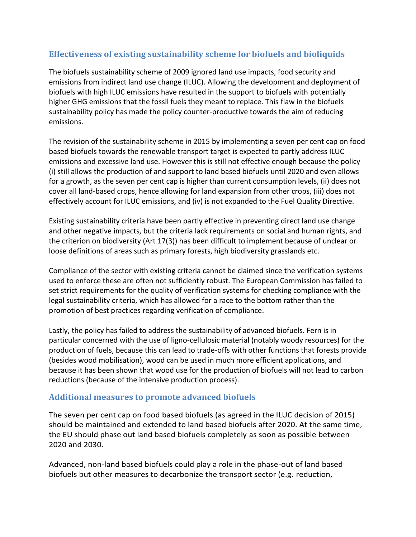#### **Effectiveness of existing sustainability scheme for biofuels and bioliquids**

The biofuels sustainability scheme of 2009 ignored land use impacts, food security and emissions from indirect land use change (ILUC). Allowing the development and deployment of biofuels with high ILUC emissions have resulted in the support to biofuels with potentially higher GHG emissions that the fossil fuels they meant to replace. This flaw in the biofuels sustainability policy has made the policy counter-productive towards the aim of reducing emissions.

The revision of the sustainability scheme in 2015 by implementing a seven per cent cap on food based biofuels towards the renewable transport target is expected to partly address ILUC emissions and excessive land use. However this is still not effective enough because the policy (i) still allows the production of and support to land based biofuels until 2020 and even allows for a growth, as the seven per cent cap is higher than current consumption levels, (ii) does not cover all land-based crops, hence allowing for land expansion from other crops, (iii) does not effectively account for ILUC emissions, and (iv) is not expanded to the Fuel Quality Directive.

Existing sustainability criteria have been partly effective in preventing direct land use change and other negative impacts, but the criteria lack requirements on social and human rights, and the criterion on biodiversity (Art 17(3)) has been difficult to implement because of unclear or loose definitions of areas such as primary forests, high biodiversity grasslands etc.

Compliance of the sector with existing criteria cannot be claimed since the verification systems used to enforce these are often not sufficiently robust. The European Commission has failed to set strict requirements for the quality of verification systems for checking compliance with the legal sustainability criteria, which has allowed for a race to the bottom rather than the promotion of best practices regarding verification of compliance.

Lastly, the policy has failed to address the sustainability of advanced biofuels. Fern is in particular concerned with the use of ligno-cellulosic material (notably woody resources) for the production of fuels, because this can lead to trade-offs with other functions that forests provide (besides wood mobilisation), wood can be used in much more efficient applications, and because it has been shown that wood use for the production of biofuels will not lead to carbon reductions (because of the intensive production process).

#### **Additional measures to promote advanced biofuels**

The seven per cent cap on food based biofuels (as agreed in the ILUC decision of 2015) should be maintained and extended to land based biofuels after 2020. At the same time, the EU should phase out land based biofuels completely as soon as possible between 2020 and 2030.

Advanced, non-land based biofuels could play a role in the phase-out of land based biofuels but other measures to decarbonize the transport sector (e.g. reduction,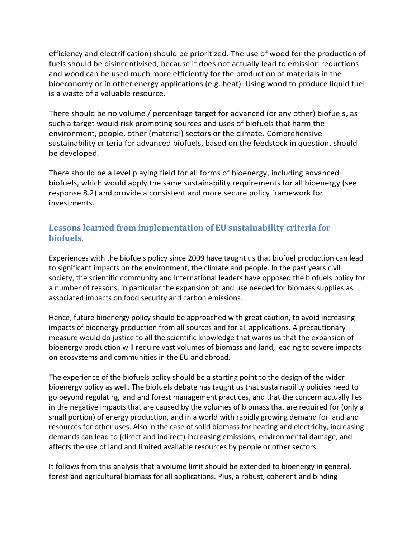efficiency and electrification) should be prioritized. The use of wood for the production of fuels should be disincentivised, because it does not actually lead to emission reductions and wood can be used much more efficiently for the production of materials in the bioeconomy or in other energy applications (e.g. heat). Using wood to produce liquid fuel is a waste of a valuable resource.

There should be no volume / percentage target for advanced (or any other) biofuels, as such a target would risk promoting sources and uses of biofuels that harm the environment, people, other (material) sectors or the climate. Comprehensive sustainability criteria for advanced biofuels, based on the feedstock in question, should be developed.

There should be a level playing field for all forms of bioenergy, including advanced biofuels, which would apply the same sustainability requirements for all bioenergy (see response 8.2) and provide a consistent and more secure policy framework for investments.

# **Lessons learned from implementation of EU sustainability criteria for biofuels.**

Experiences with the biofuels policy since 2009 have taught us that biofuel production can lead to significant impacts on the environment, the climate and people. In the past years civil society, the scientific community and international leaders have opposed the biofuels policy for a number of reasons, in particular the expansion of land use needed for biomass supplies as associated impacts on food security and carbon emissions.

Hence, future bioenergy policy should be approached with great caution, to avoid increasing impacts of bioenergy production from all sources and for all applications. A precautionary measure would do justice to all the scientific knowledge that warns us that the expansion of bioenergy production will require vast volumes of biomass and land, leading to severe impacts on ecosystems and communities in the EU and abroad.

The experience of the biofuels policy should be a starting point to the design of the wider bioenergy policy as well. The biofuels debate has taught us that sustainability policies need to go beyond regulating land and forest management practices, and that the concern actually lies in the negative impacts that are caused by the volumes of biomass that are required for (only a small portion) of energy production, and in a world with rapidly growing demand for land and resources for other uses. Also in the case of solid biomass for heating and electricity, increasing demands can lead to (direct and indirect) increasing emissions, environmental damage, and affects the use of land and limited available resources by people or other sectors.

It follows from this analysis that a volume limit should be extended to bioenergy in general, forest and agricultural biomass for all applications. Plus, a robust, coherent and binding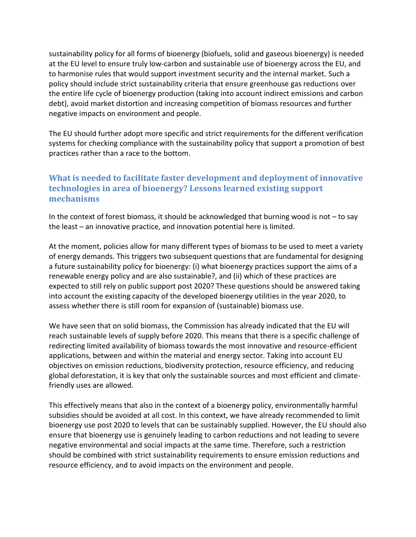sustainability policy for all forms of bioenergy (biofuels, solid and gaseous bioenergy) is needed at the EU level to ensure truly low-carbon and sustainable use of bioenergy across the EU, and to harmonise rules that would support investment security and the internal market. Such a policy should include strict sustainability criteria that ensure greenhouse gas reductions over the entire life cycle of bioenergy production (taking into account indirect emissions and carbon debt), avoid market distortion and increasing competition of biomass resources and further negative impacts on environment and people.

The EU should further adopt more specific and strict requirements for the different verification systems for checking compliance with the sustainability policy that support a promotion of best practices rather than a race to the bottom.

# **What is needed to facilitate faster development and deployment of innovative technologies in area of bioenergy? Lessons learned existing support mechanisms**

In the context of forest biomass, it should be acknowledged that burning wood is not – to say the least – an innovative practice, and innovation potential here is limited.

At the moment, policies allow for many different types of biomass to be used to meet a variety of energy demands. This triggers two subsequent questions that are fundamental for designing a future sustainability policy for bioenergy: (i) what bioenergy practices support the aims of a renewable energy policy and are also sustainable?, and (ii) which of these practices are expected to still rely on public support post 2020? These questions should be answered taking into account the existing capacity of the developed bioenergy utilities in the year 2020, to assess whether there is still room for expansion of (sustainable) biomass use.

We have seen that on solid biomass, the Commission has already indicated that the EU will reach sustainable levels of supply before 2020. This means that there is a specific challenge of redirecting limited availability of biomass towards the most innovative and resource-efficient applications, between and within the material and energy sector. Taking into account EU objectives on emission reductions, biodiversity protection, resource efficiency, and reducing global deforestation, it is key that only the sustainable sources and most efficient and climatefriendly uses are allowed.

This effectively means that also in the context of a bioenergy policy, environmentally harmful subsidies should be avoided at all cost. In this context, we have already recommended to limit bioenergy use post 2020 to levels that can be sustainably supplied. However, the EU should also ensure that bioenergy use is genuinely leading to carbon reductions and not leading to severe negative environmental and social impacts at the same time. Therefore, such a restriction should be combined with strict sustainability requirements to ensure emission reductions and resource efficiency, and to avoid impacts on the environment and people.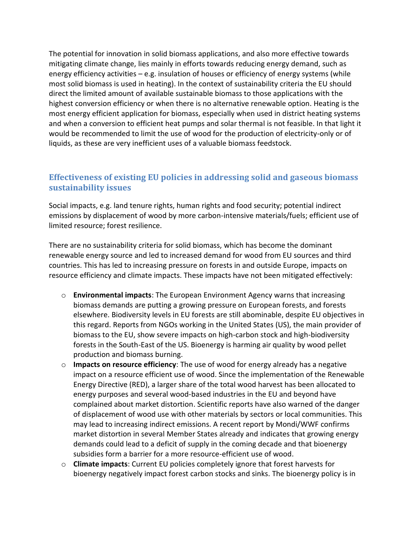The potential for innovation in solid biomass applications, and also more effective towards mitigating climate change, lies mainly in efforts towards reducing energy demand, such as energy efficiency activities – e.g. insulation of houses or efficiency of energy systems (while most solid biomass is used in heating). In the context of sustainability criteria the EU should direct the limited amount of available sustainable biomass to those applications with the highest conversion efficiency or when there is no alternative renewable option. Heating is the most energy efficient application for biomass, especially when used in district heating systems and when a conversion to efficient heat pumps and solar thermal is not feasible. In that light it would be recommended to limit the use of wood for the production of electricity-only or of liquids, as these are very inefficient uses of a valuable biomass feedstock.

#### **Effectiveness of existing EU policies in addressing solid and gaseous biomass sustainability issues**

Social impacts, e.g. land tenure rights, human rights and food security; potential indirect emissions by displacement of wood by more carbon-intensive materials/fuels; efficient use of limited resource; forest resilience.

There are no sustainability criteria for solid biomass, which has become the dominant renewable energy source and led to increased demand for wood from EU sources and third countries. This has led to increasing pressure on forests in and outside Europe, impacts on resource efficiency and climate impacts. These impacts have not been mitigated effectively:

- o **Environmental impacts**: The European Environment Agency warns that increasing biomass demands are putting a growing pressure on European forests, and forests elsewhere. Biodiversity levels in EU forests are still abominable, despite EU objectives in this regard. Reports from NGOs working in the United States (US), the main provider of biomass to the EU, show severe impacts on high-carbon stock and high-biodiversity forests in the South-East of the US. Bioenergy is harming air quality by wood pellet production and biomass burning.
- o **Impacts on resource efficiency**: The use of wood for energy already has a negative impact on a resource efficient use of wood. Since the implementation of the Renewable Energy Directive (RED), a larger share of the total wood harvest has been allocated to energy purposes and several wood-based industries in the EU and beyond have complained about market distortion. Scientific reports have also warned of the danger of displacement of wood use with other materials by sectors or local communities. This may lead to increasing indirect emissions. A recent report by Mondi/WWF confirms market distortion in several Member States already and indicates that growing energy demands could lead to a deficit of supply in the coming decade and that bioenergy subsidies form a barrier for a more resource-efficient use of wood.
- o **Climate impacts**: Current EU policies completely ignore that forest harvests for bioenergy negatively impact forest carbon stocks and sinks. The bioenergy policy is in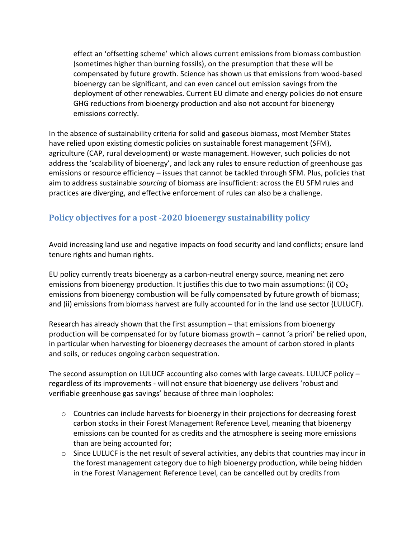effect an 'offsetting scheme' which allows current emissions from biomass combustion (sometimes higher than burning fossils), on the presumption that these will be compensated by future growth. Science has shown us that emissions from wood-based bioenergy can be significant, and can even cancel out emission savings from the deployment of other renewables. Current EU climate and energy policies do not ensure GHG reductions from bioenergy production and also not account for bioenergy emissions correctly.

In the absence of sustainability criteria for solid and gaseous biomass, most Member States have relied upon existing domestic policies on sustainable forest management (SFM), agriculture (CAP, rural development) or waste management. However, such policies do not address the 'scalability of bioenergy', and lack any rules to ensure reduction of greenhouse gas emissions or resource efficiency – issues that cannot be tackled through SFM. Plus, policies that aim to address sustainable *sourcing* of biomass are insufficient: across the EU SFM rules and practices are diverging, and effective enforcement of rules can also be a challenge.

# **Policy objectives for a post -2020 bioenergy sustainability policy**

Avoid increasing land use and negative impacts on food security and land conflicts; ensure land tenure rights and human rights.

EU policy currently treats bioenergy as a carbon-neutral energy source, meaning net zero emissions from bioenergy production. It justifies this due to two main assumptions: (i)  $CO<sub>2</sub>$ emissions from bioenergy combustion will be fully compensated by future growth of biomass; and (ii) emissions from biomass harvest are fully accounted for in the land use sector (LULUCF).

Research has already shown that the first assumption – that emissions from bioenergy production will be compensated for by future biomass growth – cannot 'a priori' be relied upon, in particular when harvesting for bioenergy decreases the amount of carbon stored in plants and soils, or reduces ongoing carbon sequestration.

The second assumption on LULUCF accounting also comes with large caveats. LULUCF policy – regardless of its improvements - will not ensure that bioenergy use delivers 'robust and verifiable greenhouse gas savings' because of three main loopholes:

- o Countries can include harvests for bioenergy in their projections for decreasing forest carbon stocks in their Forest Management Reference Level, meaning that bioenergy emissions can be counted for as credits and the atmosphere is seeing more emissions than are being accounted for;
- $\circ$  Since LULUCF is the net result of several activities, any debits that countries may incur in the forest management category due to high bioenergy production, while being hidden in the Forest Management Reference Level, can be cancelled out by credits from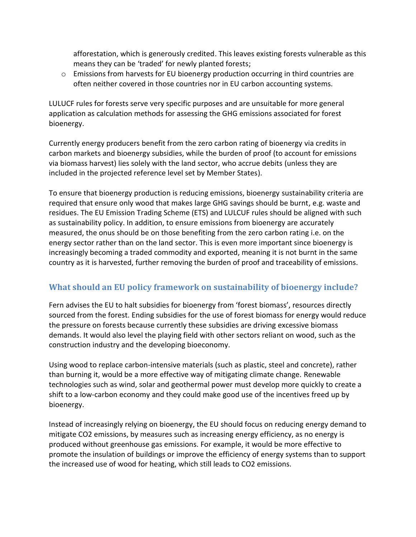afforestation, which is generously credited. This leaves existing forests vulnerable as this means they can be 'traded' for newly planted forests;

 $\circ$  Emissions from harvests for EU bioenergy production occurring in third countries are often neither covered in those countries nor in EU carbon accounting systems.

LULUCF rules for forests serve very specific purposes and are unsuitable for more general application as calculation methods for assessing the GHG emissions associated for forest bioenergy.

Currently energy producers benefit from the zero carbon rating of bioenergy via credits in carbon markets and bioenergy subsidies, while the burden of proof (to account for emissions via biomass harvest) lies solely with the land sector, who accrue debits (unless they are included in the projected reference level set by Member States).

To ensure that bioenergy production is reducing emissions, bioenergy sustainability criteria are required that ensure only wood that makes large GHG savings should be burnt, e.g. waste and residues. The EU Emission Trading Scheme (ETS) and LULCUF rules should be aligned with such as sustainability policy. In addition, to ensure emissions from bioenergy are accurately measured, the onus should be on those benefiting from the zero carbon rating i.e. on the energy sector rather than on the land sector. This is even more important since bioenergy is increasingly becoming a traded commodity and exported, meaning it is not burnt in the same country as it is harvested, further removing the burden of proof and traceability of emissions.

# **What should an EU policy framework on sustainability of bioenergy include?**

Fern advises the EU to halt subsidies for bioenergy from 'forest biomass', resources directly sourced from the forest. Ending subsidies for the use of forest biomass for energy would reduce the pressure on forests because currently these subsidies are driving excessive biomass demands. It would also level the playing field with other sectors reliant on wood, such as the construction industry and the developing bioeconomy.

Using wood to replace carbon-intensive materials (such as plastic, steel and concrete), rather than burning it, would be a more effective way of mitigating climate change. Renewable technologies such as wind, solar and geothermal power must develop more quickly to create a shift to a low-carbon economy and they could make good use of the incentives freed up by bioenergy.

Instead of increasingly relying on bioenergy, the EU should focus on reducing energy demand to mitigate CO2 emissions, by measures such as increasing energy efficiency, as no energy is produced without greenhouse gas emissions. For example, it would be more effective to promote the insulation of buildings or improve the efficiency of energy systems than to support the increased use of wood for heating, which still leads to CO2 emissions.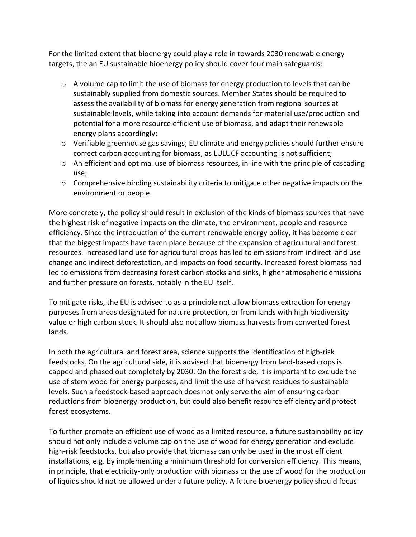For the limited extent that bioenergy could play a role in towards 2030 renewable energy targets, the an EU sustainable bioenergy policy should cover four main safeguards:

- $\circ$  A volume cap to limit the use of biomass for energy production to levels that can be sustainably supplied from domestic sources. Member States should be required to assess the availability of biomass for energy generation from regional sources at sustainable levels, while taking into account demands for material use/production and potential for a more resource efficient use of biomass, and adapt their renewable energy plans accordingly;
- $\circ$  Verifiable greenhouse gas savings; EU climate and energy policies should further ensure correct carbon accounting for biomass, as LULUCF accounting is not sufficient;
- $\circ$  An efficient and optimal use of biomass resources, in line with the principle of cascading use;
- $\circ$  Comprehensive binding sustainability criteria to mitigate other negative impacts on the environment or people.

More concretely, the policy should result in exclusion of the kinds of biomass sources that have the highest risk of negative impacts on the climate, the environment, people and resource efficiency. Since the introduction of the current renewable energy policy, it has become clear that the biggest impacts have taken place because of the expansion of agricultural and forest resources. Increased land use for agricultural crops has led to emissions from indirect land use change and indirect deforestation, and impacts on food security. Increased forest biomass had led to emissions from decreasing forest carbon stocks and sinks, higher atmospheric emissions and further pressure on forests, notably in the EU itself.

To mitigate risks, the EU is advised to as a principle not allow biomass extraction for energy purposes from areas designated for nature protection, or from lands with high biodiversity value or high carbon stock. It should also not allow biomass harvests from converted forest lands.

In both the agricultural and forest area, science supports the identification of high-risk feedstocks. On the agricultural side, it is advised that bioenergy from land-based crops is capped and phased out completely by 2030. On the forest side, it is important to exclude the use of stem wood for energy purposes, and limit the use of harvest residues to sustainable levels. Such a feedstock-based approach does not only serve the aim of ensuring carbon reductions from bioenergy production, but could also benefit resource efficiency and protect forest ecosystems.

To further promote an efficient use of wood as a limited resource, a future sustainability policy should not only include a volume cap on the use of wood for energy generation and exclude high-risk feedstocks, but also provide that biomass can only be used in the most efficient installations, e.g. by implementing a minimum threshold for conversion efficiency. This means, in principle, that electricity-only production with biomass or the use of wood for the production of liquids should not be allowed under a future policy. A future bioenergy policy should focus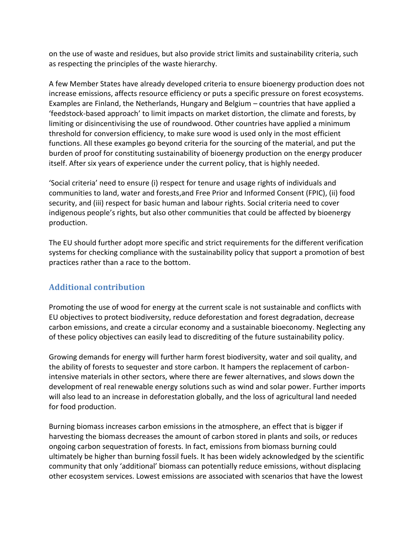on the use of waste and residues, but also provide strict limits and sustainability criteria, such as respecting the principles of the waste hierarchy.

A few Member States have already developed criteria to ensure bioenergy production does not increase emissions, affects resource efficiency or puts a specific pressure on forest ecosystems. Examples are Finland, the Netherlands, Hungary and Belgium – countries that have applied a 'feedstock-based approach' to limit impacts on market distortion, the climate and forests, by limiting or disincentivising the use of roundwood. Other countries have applied a minimum threshold for conversion efficiency, to make sure wood is used only in the most efficient functions. All these examples go beyond criteria for the sourcing of the material, and put the burden of proof for constituting sustainability of bioenergy production on the energy producer itself. After six years of experience under the current policy, that is highly needed.

'Social criteria' need to ensure (i) respect for tenure and usage rights of individuals and communities to land, water and forests,and Free Prior and Informed Consent (FPIC), (ii) food security, and (iii) respect for basic human and labour rights. Social criteria need to cover indigenous people's rights, but also other communities that could be affected by bioenergy production.

The EU should further adopt more specific and strict requirements for the different verification systems for checking compliance with the sustainability policy that support a promotion of best practices rather than a race to the bottom.

# **Additional contribution**

Promoting the use of wood for energy at the current scale is not sustainable and conflicts with EU objectives to protect biodiversity, reduce deforestation and forest degradation, decrease carbon emissions, and create a circular economy and a sustainable bioeconomy. Neglecting any of these policy objectives can easily lead to discrediting of the future sustainability policy.

Growing demands for energy will further harm forest biodiversity, water and soil quality, and the ability of forests to sequester and store carbon. It hampers the replacement of carbonintensive materials in other sectors, where there are fewer alternatives, and slows down the development of real renewable energy solutions such as wind and solar power. Further imports will also lead to an increase in deforestation globally, and the loss of agricultural land needed for food production.

Burning biomass increases carbon emissions in the atmosphere, an effect that is bigger if harvesting the biomass decreases the amount of carbon stored in plants and soils, or reduces ongoing carbon sequestration of forests. In fact, emissions from biomass burning could ultimately be higher than burning fossil fuels. It has been widely acknowledged by the scientific community that only 'additional' biomass can potentially reduce emissions, without displacing other ecosystem services. Lowest emissions are associated with scenarios that have the lowest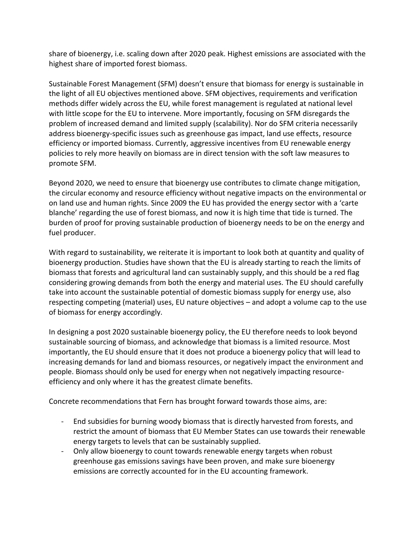share of bioenergy, i.e. scaling down after 2020 peak. Highest emissions are associated with the highest share of imported forest biomass.

Sustainable Forest Management (SFM) doesn't ensure that biomass for energy is sustainable in the light of all EU objectives mentioned above. SFM objectives, requirements and verification methods differ widely across the EU, while forest management is regulated at national level with little scope for the EU to intervene. More importantly, focusing on SFM disregards the problem of increased demand and limited supply (scalability). Nor do SFM criteria necessarily address bioenergy-specific issues such as greenhouse gas impact, land use effects, resource efficiency or imported biomass. Currently, aggressive incentives from EU renewable energy policies to rely more heavily on biomass are in direct tension with the soft law measures to promote SFM.

Beyond 2020, we need to ensure that bioenergy use contributes to climate change mitigation, the circular economy and resource efficiency without negative impacts on the environmental or on land use and human rights. Since 2009 the EU has provided the energy sector with a 'carte blanche' regarding the use of forest biomass, and now it is high time that tide is turned. The burden of proof for proving sustainable production of bioenergy needs to be on the energy and fuel producer.

With regard to sustainability, we reiterate it is important to look both at quantity and quality of bioenergy production. Studies have shown that the EU is already starting to reach the limits of biomass that forests and agricultural land can sustainably supply, and this should be a red flag considering growing demands from both the energy and material uses. The EU should carefully take into account the sustainable potential of domestic biomass supply for energy use, also respecting competing (material) uses, EU nature objectives – and adopt a volume cap to the use of biomass for energy accordingly.

In designing a post 2020 sustainable bioenergy policy, the EU therefore needs to look beyond sustainable sourcing of biomass, and acknowledge that biomass is a limited resource. Most importantly, the EU should ensure that it does not produce a bioenergy policy that will lead to increasing demands for land and biomass resources, or negatively impact the environment and people. Biomass should only be used for energy when not negatively impacting resourceefficiency and only where it has the greatest climate benefits.

Concrete recommendations that Fern has brought forward towards those aims, are:

- End subsidies for burning woody biomass that is directly harvested from forests, and restrict the amount of biomass that EU Member States can use towards their renewable energy targets to levels that can be sustainably supplied.
- Only allow bioenergy to count towards renewable energy targets when robust greenhouse gas emissions savings have been proven, and make sure bioenergy emissions are correctly accounted for in the EU accounting framework.